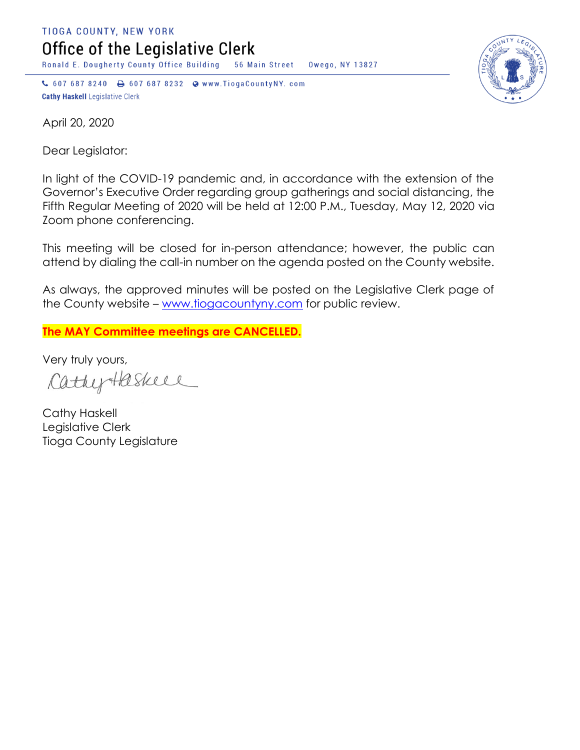TIOGA COUNTY, NEW YORK Office of the Legislative Clerk

Ronald E. Dougherty County Office Building 56 Main Street Owego, NY 13827

↓ 607 687 8240 → 607 687 8232 → www.TiogaCountyNY.com **Cathy Haskell Legislative Clerk** 



April 20, 2020

Dear Legislator:

In light of the COVID-19 pandemic and, in accordance with the extension of the Governor's Executive Order regarding group gatherings and social distancing, the Fifth Regular Meeting of 2020 will be held at 12:00 P.M., Tuesday, May 12, 2020 via Zoom phone conferencing.

This meeting will be closed for in-person attendance; however, the public can attend by dialing the call-in number on the agenda posted on the County website.

As always, the approved minutes will be posted on the Legislative Clerk page of the County website – [www.tiogacountyny.com](http://www.tiogacountyny.com/) for public review.

**The MAY Committee meetings are CANCELLED.** 

Very truly yours,

CathyHaskell

Cathy Haskell Legislative Clerk Tioga County Legislature